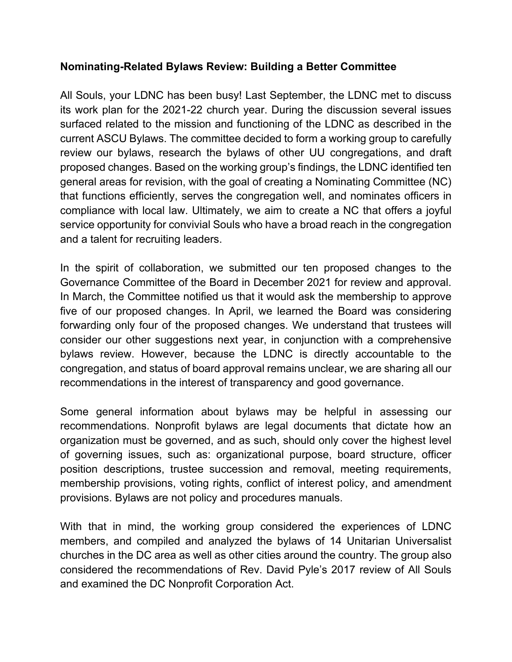#### **Nominating-Related Bylaws Review: Building a Better Committee**

All Souls, your LDNC has been busy! Last September, the LDNC met to discuss its work plan for the 2021-22 church year. During the discussion several issues surfaced related to the mission and functioning of the LDNC as described in the current ASCU Bylaws. The committee decided to form a working group to carefully review our bylaws, research the bylaws of other UU congregations, and draft proposed changes. Based on the working group's findings, the LDNC identified ten general areas for revision, with the goal of creating a Nominating Committee (NC) that functions efficiently, serves the congregation well, and nominates officers in compliance with local law. Ultimately, we aim to create a NC that offers a joyful service opportunity for convivial Souls who have a broad reach in the congregation and a talent for recruiting leaders.

In the spirit of collaboration, we submitted our ten proposed changes to the Governance Committee of the Board in December 2021 for review and approval. In March, the Committee notified us that it would ask the membership to approve five of our proposed changes. In April, we learned the Board was considering forwarding only four of the proposed changes. We understand that trustees will consider our other suggestions next year, in conjunction with a comprehensive bylaws review. However, because the LDNC is directly accountable to the congregation, and status of board approval remains unclear, we are sharing all our recommendations in the interest of transparency and good governance.

Some general information about bylaws may be helpful in assessing our recommendations. Nonprofit bylaws are legal documents that dictate how an organization must be governed, and as such, should only cover the highest level of governing issues, such as: organizational purpose, board structure, officer position descriptions, trustee succession and removal, meeting requirements, membership provisions, voting rights, conflict of interest policy, and amendment provisions. Bylaws are not policy and procedures manuals.

With that in mind, the working group considered the experiences of LDNC members, and compiled and analyzed the bylaws of 14 Unitarian Universalist churches in the DC area as well as other cities around the country. The group also considered the recommendations of Rev. David Pyle's 2017 review of All Souls and examined the DC Nonprofit Corporation Act.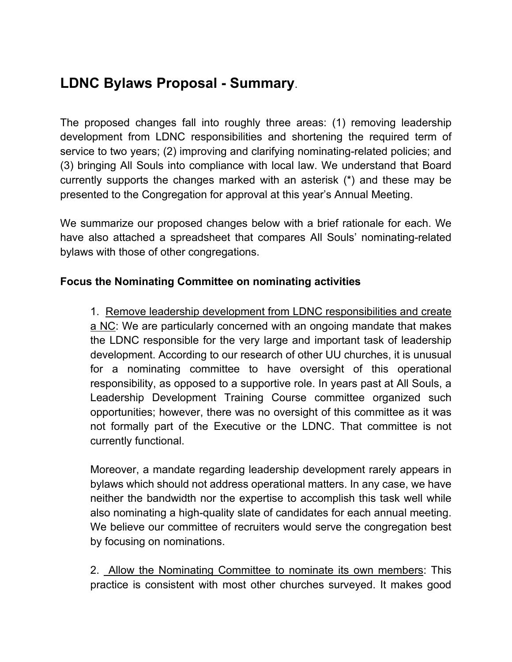# **LDNC Bylaws Proposal - Summary**.

The proposed changes fall into roughly three areas: (1) removing leadership development from LDNC responsibilities and shortening the required term of service to two years; (2) improving and clarifying nominating-related policies; and (3) bringing All Souls into compliance with local law. We understand that Board currently supports the changes marked with an asterisk (\*) and these may be presented to the Congregation for approval at this year's Annual Meeting.

We summarize our proposed changes below with a brief rationale for each. We have also attached a spreadsheet that compares All Souls' nominating-related bylaws with those of other congregations.

### **Focus the Nominating Committee on nominating activities**

1. Remove leadership development from LDNC responsibilities and create a NC: We are particularly concerned with an ongoing mandate that makes the LDNC responsible for the very large and important task of leadership development. According to our research of other UU churches, it is unusual for a nominating committee to have oversight of this operational responsibility, as opposed to a supportive role. In years past at All Souls, a Leadership Development Training Course committee organized such opportunities; however, there was no oversight of this committee as it was not formally part of the Executive or the LDNC. That committee is not currently functional.

Moreover, a mandate regarding leadership development rarely appears in bylaws which should not address operational matters. In any case, we have neither the bandwidth nor the expertise to accomplish this task well while also nominating a high-quality slate of candidates for each annual meeting. We believe our committee of recruiters would serve the congregation best by focusing on nominations.

2. Allow the Nominating Committee to nominate its own members: This practice is consistent with most other churches surveyed. It makes good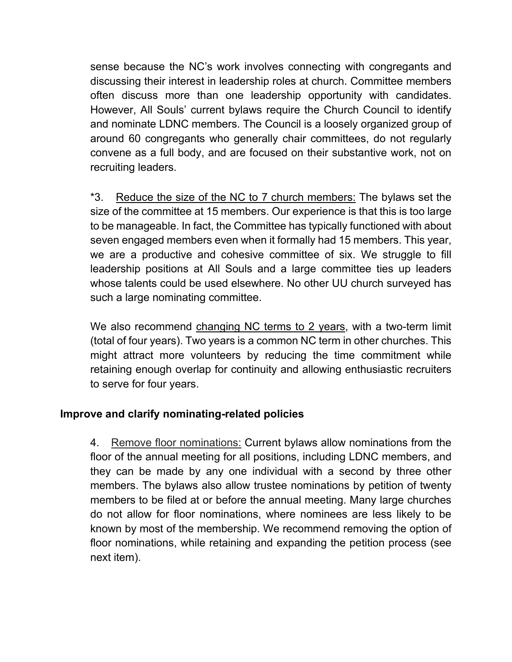sense because the NC's work involves connecting with congregants and discussing their interest in leadership roles at church. Committee members often discuss more than one leadership opportunity with candidates. However, All Souls' current bylaws require the Church Council to identify and nominate LDNC members. The Council is a loosely organized group of around 60 congregants who generally chair committees, do not regularly convene as a full body, and are focused on their substantive work, not on recruiting leaders.

\*3. Reduce the size of the NC to 7 church members: The bylaws set the size of the committee at 15 members. Our experience is that this is too large to be manageable. In fact, the Committee has typically functioned with about seven engaged members even when it formally had 15 members. This year, we are a productive and cohesive committee of six. We struggle to fill leadership positions at All Souls and a large committee ties up leaders whose talents could be used elsewhere. No other UU church surveyed has such a large nominating committee.

We also recommend changing NC terms to 2 years, with a two-term limit (total of four years). Two years is a common NC term in other churches. This might attract more volunteers by reducing the time commitment while retaining enough overlap for continuity and allowing enthusiastic recruiters to serve for four years.

## **Improve and clarify nominating-related policies**

4. Remove floor nominations: Current bylaws allow nominations from the floor of the annual meeting for all positions, including LDNC members, and they can be made by any one individual with a second by three other members. The bylaws also allow trustee nominations by petition of twenty members to be filed at or before the annual meeting. Many large churches do not allow for floor nominations, where nominees are less likely to be known by most of the membership. We recommend removing the option of floor nominations, while retaining and expanding the petition process (see next item).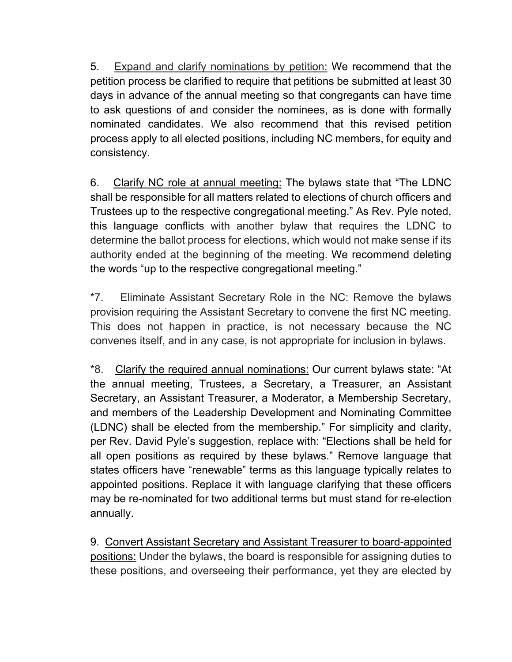5. Expand and clarify nominations by petition: We recommend that the petition process be clarified to require that petitions be submitted at least 30 days in advance of the annual meeting so that congregants can have time to ask questions of and consider the nominees, as is done with formally nominated candidates. We also recommend that this revised petition process apply to all elected positions, including NC members, for equity and consistency.

6. Clarify NC role at annual meeting: The bylaws state that "The LDNC shall be responsible for all matters related to elections of church officers and Trustees up to the respective congregational meeting." As Rev. Pyle noted, this language conflicts with another bylaw that requires the LDNC to determine the ballot process for elections, which would not make sense if its authority ended at the beginning of the meeting. We recommend deleting the words "up to the respective congregational meeting."

\*7. Eliminate Assistant Secretary Role in the NC: Remove the bylaws provision requiring the Assistant Secretary to convene the first NC meeting. This does not happen in practice, is not necessary because the NC convenes itself, and in any case, is not appropriate for inclusion in bylaws.

\*8. Clarify the required annual nominations: Our current bylaws state: "At the annual meeting, Trustees, a Secretary, a Treasurer, an Assistant Secretary, an Assistant Treasurer, a Moderator, a Membership Secretary, and members of the Leadership Development and Nominating Committee (LDNC) shall be elected from the membership." For simplicity and clarity, per Rev. David Pyle's suggestion, replace with: "Elections shall be held for all open positions as required by these bylaws." Remove language that states officers have "renewable" terms as this language typically relates to appointed positions. Replace it with language clarifying that these officers may be re-nominated for two additional terms but must stand for re-election annually.

9. Convert Assistant Secretary and Assistant Treasurer to board-appointed positions: Under the bylaws, the board is responsible for assigning duties to these positions, and overseeing their performance, yet they are elected by